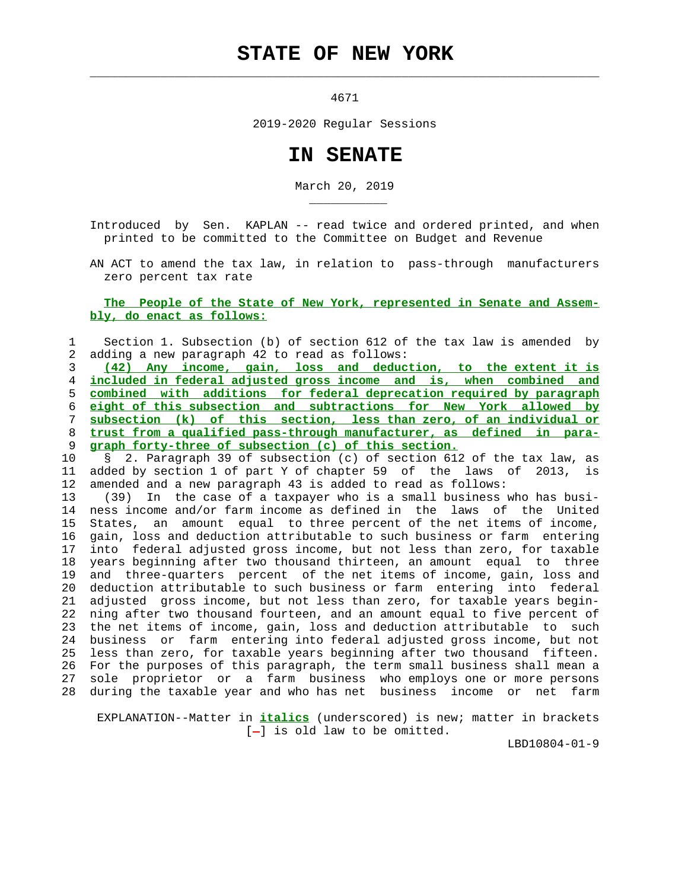## **STATE OF NEW YORK**

 $\mathcal{L}_\text{max} = \frac{1}{2} \sum_{i=1}^{n} \frac{1}{2} \sum_{i=1}^{n} \frac{1}{2} \sum_{i=1}^{n} \frac{1}{2} \sum_{i=1}^{n} \frac{1}{2} \sum_{i=1}^{n} \frac{1}{2} \sum_{i=1}^{n} \frac{1}{2} \sum_{i=1}^{n} \frac{1}{2} \sum_{i=1}^{n} \frac{1}{2} \sum_{i=1}^{n} \frac{1}{2} \sum_{i=1}^{n} \frac{1}{2} \sum_{i=1}^{n} \frac{1}{2} \sum_{i=1}^{n} \frac{1$ 

\_\_\_\_\_\_\_\_\_\_\_

4671

2019-2020 Regular Sessions

## **IN SENATE**

March 20, 2019

 Introduced by Sen. KAPLAN -- read twice and ordered printed, and when printed to be committed to the Committee on Budget and Revenue

 AN ACT to amend the tax law, in relation to pass-through manufacturers zero percent tax rate

## **The People of the State of New York, represented in Senate and Assem bly, do enact as follows:**

 1 Section 1. Subsection (b) of section 612 of the tax law is amended by 2 adding a new paragraph 42 to read as follows:

**(42) Any income, gain, loss and deduction, to the extent it is included in federal adjusted gross income and is, when combined and combined with additions for federal deprecation required by paragraph eight of this subsection and subtractions for New York allowed by subsection (k) of this section, less than zero, of an individual or trust from a qualified pass-through manufacturer, as defined in para- graph forty-three of subsection (c) of this section.**

 10 § 2. Paragraph 39 of subsection (c) of section 612 of the tax law, as 11 added by section 1 of part Y of chapter 59 of the laws of 2013, is 12 amended and a new paragraph 43 is added to read as follows:

 13 (39) In the case of a taxpayer who is a small business who has busi- 14 ness income and/or farm income as defined in the laws of the United 15 States, an amount equal to three percent of the net items of income, 16 gain, loss and deduction attributable to such business or farm entering 17 into federal adjusted gross income, but not less than zero, for taxable 18 years beginning after two thousand thirteen, an amount equal to three 19 and three-quarters percent of the net items of income, gain, loss and 20 deduction attributable to such business or farm entering into federal 21 adjusted gross income, but not less than zero, for taxable years begin- 22 ning after two thousand fourteen, and an amount equal to five percent of 23 the net items of income, gain, loss and deduction attributable to such 24 business or farm entering into federal adjusted gross income, but not 25 less than zero, for taxable years beginning after two thousand fifteen. 26 For the purposes of this paragraph, the term small business shall mean a 27 sole proprietor or a farm business who employs one or more persons 28 during the taxable year and who has net business income or net farm

 EXPLANATION--Matter in **italics** (underscored) is new; matter in brackets  $[-]$  is old law to be omitted.

LBD10804-01-9